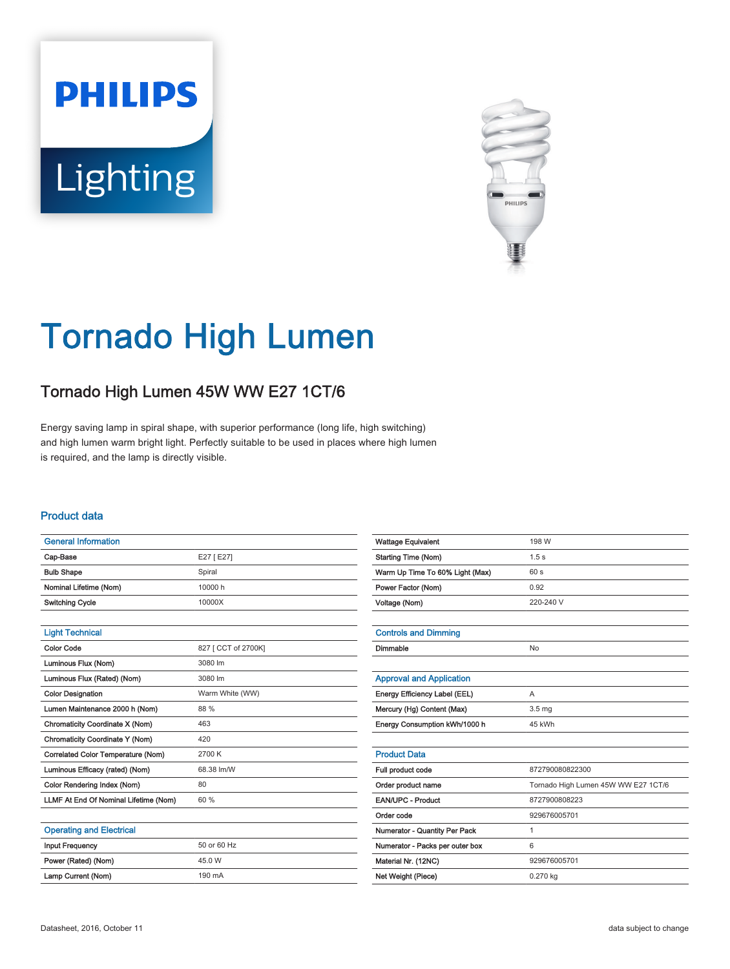# **PHILIPS Lighting**



# Tornado High Lumen

## Tornado High Lumen 45W WW E27 1CT/6

Energy saving lamp in spiral shape, with superior performance (long life, high switching) and high lumen warm bright light. Perfectly suitable to be used in places where high lumen is required, and the lamp is directly visible.

#### Product data

| <b>General Information</b>            |                     |
|---------------------------------------|---------------------|
| Cap-Base                              | E27 [E27]           |
| <b>Bulb Shape</b>                     | Spiral              |
| Nominal Lifetime (Nom)                | 10000 h             |
| <b>Switching Cycle</b>                | 10000X              |
|                                       |                     |
| <b>Light Technical</b>                |                     |
| Color Code                            | 827 [ CCT of 2700K] |
| Luminous Flux (Nom)                   | 3080 lm             |
| Luminous Flux (Rated) (Nom)           | 3080 lm             |
| <b>Color Designation</b>              | Warm White (WW)     |
| Lumen Maintenance 2000 h (Nom)        | 88 %                |
| Chromaticity Coordinate X (Nom)       | 463                 |
| Chromaticity Coordinate Y (Nom)       | 420                 |
| Correlated Color Temperature (Nom)    | 2700 K              |
| Luminous Efficacy (rated) (Nom)       | 68.38 lm/W          |
| Color Rendering Index (Nom)           | 80                  |
| LLMF At End Of Nominal Lifetime (Nom) | 60 %                |
|                                       |                     |
| <b>Operating and Electrical</b>       |                     |
| <b>Input Frequency</b>                | 50 or 60 Hz         |
| Power (Rated) (Nom)                   | 45.0 W              |
| Lamp Current (Nom)                    | 190 mA              |

| <b>Wattage Equivalent</b>       | 198 W                               |
|---------------------------------|-------------------------------------|
| <b>Starting Time (Nom)</b>      | 1.5 <sub>s</sub>                    |
| Warm Up Time To 60% Light (Max) | 60s                                 |
| Power Factor (Nom)              | 0.92                                |
| Voltage (Nom)                   | 220-240 V                           |
|                                 |                                     |
| <b>Controls and Dimming</b>     |                                     |
| Dimmable                        | No                                  |
|                                 |                                     |
| <b>Approval and Application</b> |                                     |
| Energy Efficiency Label (EEL)   | A                                   |
| Mercury (Hg) Content (Max)      | 3.5 <sub>mg</sub>                   |
| Energy Consumption kWh/1000 h   | 45 kWh                              |
|                                 |                                     |
| <b>Product Data</b>             |                                     |
| Full product code               | 872790080822300                     |
| Order product name              | Tornado High Lumen 45W WW E27 1CT/6 |
| <b>EAN/UPC - Product</b>        | 8727900808223                       |
| Order code                      | 929676005701                        |
| Numerator - Quantity Per Pack   | 1                                   |
| Numerator - Packs per outer box | 6                                   |
| Material Nr. (12NC)             | 929676005701                        |
| Net Weight (Piece)              | 0.270 kg                            |
|                                 |                                     |